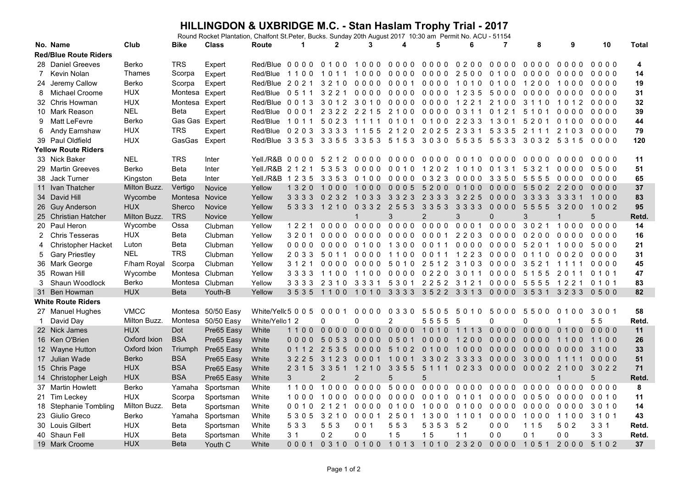## **HILLINGDON & UXBRIDGE M.C. - Stan Haslam Trophy Trial - 2017**<br>Round Rocket Plantation, Chalfont St.Peter, Bucks. Sunday 20th August 2017 10:30 am Permit No. ACU - 51154

|                              | No. Name                   | Club          | <b>Bike</b>    | <b>Class</b> | Route                                            | $\mathbf 1$    | $\mathbf{2}$    | 3               | 4              | 5                                            | 6              | $\overline{7}$ | 8              | 9              | 10      | <b>Total</b> |
|------------------------------|----------------------------|---------------|----------------|--------------|--------------------------------------------------|----------------|-----------------|-----------------|----------------|----------------------------------------------|----------------|----------------|----------------|----------------|---------|--------------|
| <b>Red/Blue Route Riders</b> |                            |               |                |              |                                                  |                |                 |                 |                |                                              |                |                |                |                |         |              |
|                              | 28 Daniel Greeves          | Berko         | <b>TRS</b>     | Expert       | Red/Blue 0000 0100                               |                |                 | 1000            | 0000           | 0000                                         | 0200           | 0000           | $0000$         | 0000           | $0000$  | 4            |
| 7                            | Kevin Nolan                | <b>Thames</b> | Scorpa         | Expert       | Red/Blue                                         | 1100           | 1011            | 1000            | $0000$         | $0000$                                       | 2500           | 0100           | 0000           | $0000$         | 0000    | 14           |
|                              | 24 Jeremy Callow           | Berko         | Scorpa         | Expert       | Red/Blue 2021                                    |                | 3210            | 0000            | 0001           | 0000                                         | 1010           | 0100           | 1200           | 1000           | 0000    | 19           |
| 8                            | Michael Croome             | <b>HUX</b>    | Montesa        | Expert       | Red/Blue                                         | 0511           | 3221            | 0000            | 0000           | 0000 1235                                    |                | 5000           | 0000           | 0000           | 0000    | 31           |
|                              | 32 Chris Howman            | <b>HUX</b>    | Montesa        | Expert       | Red/Blue 0013 3012                               |                |                 | 3010            | 0000           | 00001221                                     |                | 2 1 0 0        | 3 1 1 0        | 1012           | 0000    | 32           |
|                              | 10 Mark Reason             | <b>NEL</b>    | Beta           | Expert       | Red/Blue                                         | 0001           | 2 3 2 2         | 2 2 1 5         | 2100           | 0000                                         | 0 3 1 1        | 0 1 2 1        | 5 1 0 1        | 0000           | 0000    | 39           |
| 9                            | <b>Matt LeFevre</b>        | Berko         | Gas Gas Expert |              | Red/Blue                                         | 1011           | 5023            | 1111            | 0 1 0 1        | 0100                                         | 2 2 3 3        | 1 3 0 1        | 5 2 0 1        | 0100           | 0000    | 44           |
| 6                            | Andy Earnshaw              | <b>HUX</b>    | <b>TRS</b>     | Expert       | Red/Blue 0203 3333 1155                          |                |                 |                 |                | 2120 2025 2331 5335 2111                     |                |                |                | 2 1 0 3        | 0000    | 79           |
|                              | 39 Paul Oldfield           | <b>HUX</b>    | GasGas         | Expert       | Red/Blue 3353 3355 3353 5153 3030 5535 5533 3032 |                |                 |                 |                |                                              |                |                |                | 5 3 1 5        | 0000    | 120          |
|                              | <b>Yellow Route Riders</b> |               |                |              |                                                  |                |                 |                 |                |                                              |                |                |                |                |         |              |
|                              | 33 Nick Baker              | <b>NEL</b>    | <b>TRS</b>     | Inter        | Yell./R&B 0000 5212                              |                |                 | 0000            | 0000           | 0000                                         | 0010           | 0000           | 0000           | 0000           | 0000    | 11           |
|                              | 29 Martin Greeves          | <b>Berko</b>  | <b>Beta</b>    | Inter        | Yell./R&B 2 1 2 1                                |                | 5 3 5 3         | 0000            | 0010           | 12021010                                     |                | 0, 1, 3, 1     | 5 3 2 1        | 0000           | 0500    | 51           |
|                              | 38 Jack Turner             | Kingston      | <b>Beta</b>    | Inter        | Yell./R&B 1235                                   |                | 3353            | 0100            | 0000           | 0 3 2 3                                      | 0000           | 3 3 5 0        | 5 5 5 5        | 0000           | 0000    | 65           |
|                              | 11 Ivan Thatcher           | Milton Buzz.  | Vertigo        | Novice       | Yellow                                           | 1 3 2 0        | 1000            | 1000            | 0005           | 5200                                         | 0100           | $0000$         | 5502           | 2200           | $0000$  | 37           |
|                              | 34 David Hill              | Wycombe       | Montesa        | Novice       | Yellow                                           | 3 3 3 3        | 0 2 3 2         | 1033            | 3 3 2 3        | 23333225                                     |                | $0000$         | 3 3 3 3        | 3 3 3 1        | 1000    | 83           |
|                              | 26 Guy Anderson            | <b>HUX</b>    | Sherco         | Novice       | Yellow                                           |                | 5 3 3 3 1 2 1 0 | 0 3 3 2 2 5 5 3 |                | 33533333                                     |                | $0000$         | 5555           | 3200           | 1002    | 95           |
|                              | 25 Christian Hatcher       | Milton Buzz.  | <b>TRS</b>     | Novice       | Yellow                                           |                |                 | $\mathbf{1}$    | 3              | $\overline{2}$                               | 3              | $\Omega$       | 3              | $\mathbf 1$    | 5       | Retd.        |
|                              | 20 Paul Heron              | Wycombe       | Ossa           | Clubman      | Yellow                                           | 1221           | $0000$          |                 | 0000 0000 0000 |                                              | 0001           | 0000           | 3021           | 1000           | 0000    | 14           |
|                              | 2 Chris Tesseras           | <b>HUX</b>    | Beta           | Clubman      | Yellow                                           | 3 2 0 1        | 0000            | 0000            | 0000           | 00012203                                     |                | 0000           | 0200           | 0000           | 0000    | 16           |
| 4                            | <b>Christopher Hacket</b>  | Luton         | Beta           | Clubman      | Yellow                                           | 0000           | 0000            | 0100            | 1300           | 0011                                         | 0000           | 0000           | 5201           | 1000           | 5000    | 21           |
| 5                            | <b>Gary Priestley</b>      | <b>NEL</b>    | <b>TRS</b>     | Clubman      | Yellow                                           | 2033           | 5011            | 0000            | 1100           | 0011                                         | 1 2 2 3        | 0000           | 0 1 1 0        | 0020           | 0000    | 31           |
|                              | 36 Mark George             | F/ham Royal   | Scorpa         | Clubman      | Yellow                                           | 3 1 2 1        | 0000            | 0000            | 5010           | 2512                                         | 3 1 0 3        | 0000           | 3521           | 1111           | 0000    | 45           |
|                              | 35 Rowan Hill              | Wycombe       | Montesa        | Clubman      | Yellow                                           | 3333           | 1100            | 1100            |                | 0000 0220 3011                               |                | 0000           | 5 1 5 5        | 2011           | 0 1 0 1 | 47           |
| 3                            | Shaun Woodlock             | Berko         | Montesa        | Clubman      | Yellow                                           | 3 3 3 3        | 2310            | 3331            |                | 5301 2252 3121                               |                | $0000$         | 5555           | 1221           | 0 1 0 1 | 83           |
|                              | 31 Ben Howman              | <b>HUX</b>    | <b>Beta</b>    | Youth-B      | Yellow                                           | 3535           |                 |                 |                | 1100 1010 3333 3522 3313                     |                | $0000$         | 3531           | 3 2 3 3        | 0500    | 82           |
|                              | <b>White Route Riders</b>  |               |                |              |                                                  |                |                 |                 |                |                                              |                |                |                |                |         |              |
|                              | 27 Manuel Hughes           | <b>VMCC</b>   | Montesa        | 50/50 Easy   | White/Yell $(5 0 0 5$                            |                | 0001            | 0000            | 0330           | 5505                                         | 5010           | 5000           | 5500           | 0100           | 3001    | 58           |
| $\mathbf{1}$                 | David Day                  | Milton Buzz.  | Montesa        | 50/50 Easy   | White/Yello 1 2                                  |                | $\Omega$        | $\Omega$        | $\overline{2}$ | 5555                                         | 5              | $\Omega$       | $\Omega$       | 1              | 55      | Retd.        |
|                              | 22 Nick James              | <b>HUX</b>    | Dot            | Pre65 Easy   | White                                            | 1100           | $0000$          | 0000            | 0000 1010      |                                              | 1 1 1 3        | $0000$         | $0000$         | 0100           | $0000$  | 11           |
|                              | 16 Ken O'Brien             | Oxford Ixion  | <b>BSA</b>     | Pre65 Easy   | White                                            | 0000           | 5053            | 0000            | 0501           | 0000                                         | 1200           | 0000           | 0000           | 1100           | 1100    | 26           |
|                              | 12 Wayne Hutton            | Oxford Ixion  | Triumph        | Pre65 Easy   | White                                            | 0112           | 2535            | $0000$          | 5102 0100      |                                              | 1000           | $0000$         | $0000$         | $0000$         | 3100    | 33           |
|                              | 17 Julian Wade             | Berko         | <b>BSA</b>     | Pre65 Easy   | White                                            | 3 2 2 5        | 3 1 2 3         | 0001            | 1001           | 3302 3333                                    |                | 0000           | 3000           | 1111           | 0000    | 51           |
|                              | 15 Chris Page              | <b>HUX</b>    | <b>BSA</b>     | Pre65 Easy   | White                                            | 2 3 1 5        | 3351 1210       |                 | 3 3 5 5        | 5111 0233 0000                               |                |                | 0002           | 2 1 0 0        | 3022    | 71           |
|                              | 14 Christopher Leigh       | <b>HUX</b>    | <b>BSA</b>     | Pre65 Easy   | White                                            | 3              | $\overline{2}$  | $\overline{2}$  | 5              | 5                                            |                |                |                | 1              | 5       | Retd.        |
|                              | 37 Martin Howlett          | Berko         | Yamaha         | Sportsman    | White                                            | 1100           | 1000            | 0000            | 5000           | 0000                                         | 0000           | 0000           | 0000           | 0000           | 0000    | 8            |
|                              | 21 Tim Leckey              | <b>HUX</b>    | Scorpa         | Sportsman    | White                                            | 1000           | 1000            | 0000            | 0000           | 0010                                         | 0 1 0 1        | 0000           | 0050           | 0000           | 0010    | 11           |
|                              | 18 Stephanie Tombling      | Milton Buzz.  | <b>Beta</b>    | Sportsman    | White                                            | 0010           | 2 1 2 1         | $0000$          | 0100           | 1000                                         | 0 1 0 0        | 0000           | $0000$         | 0000           | 3010    | 14           |
|                              | 23 Giulio Greco            | Berko         | Yamaha         | Sportsman    | White                                            | 5305           | 3 2 1 0         | 0001            | 2501           | 1300                                         | 1101           | 0000           | 1000           | 1100           | 3 1 0 1 | 43           |
|                              | 30 Louis Gilbert           | <b>HUX</b>    | Beta           | Sportsman    | White                                            | 5 3 3          | 553             | 001             | 553            | 5 3 5 3                                      | 52             | 000            | 1 1 5          | 502            | 3 3 1   | Retd.        |
|                              | 40 Shaun Fell              | <b>HUX</b>    | Beta           | Sportsman    | White                                            | 3 <sub>1</sub> | 0 <sub>2</sub>  | 0 <sub>0</sub>  | 15             | 1 <sub>5</sub>                               | 1 <sub>1</sub> | 0 <sub>0</sub> | 0 <sub>1</sub> | 0 <sub>0</sub> | 33      | Retd.        |
|                              | 19 Mark Croome             | <b>HUX</b>    | <b>Beta</b>    | Youth C      | White                                            | 0001           |                 |                 |                | 0310 0100 1013 1010 2320 0000 1051 2000 5102 |                |                |                |                |         | 37           |